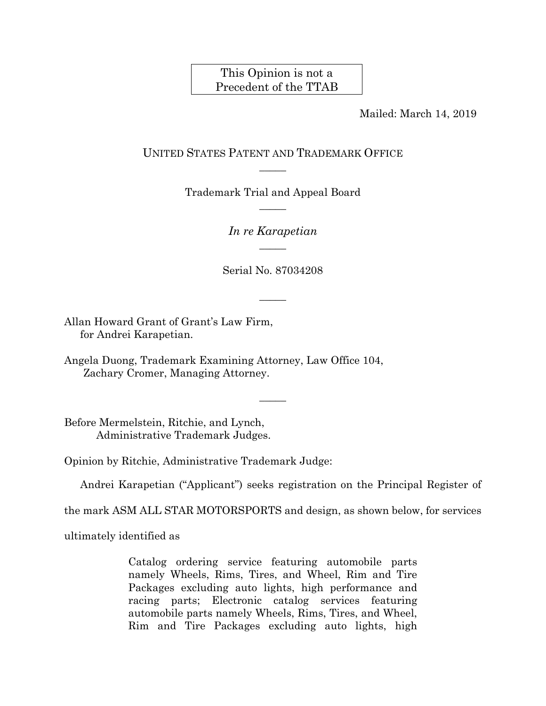# This Opinion is not a Precedent of the TTAB

Mailed: March 14, 2019

## UNITED STATES PATENT AND TRADEMARK OFFICE  $\overline{\phantom{a}}$

Trademark Trial and Appeal Board  $\overline{\phantom{a}}$ 

> *In re Karapetian*   $\overline{\phantom{a}}$

Serial No. 87034208

 $\overline{\phantom{a}}$ 

 $\overline{\phantom{a}}$ 

Allan Howard Grant of Grant's Law Firm, for Andrei Karapetian.

Angela Duong, Trademark Examining Attorney, Law Office 104, Zachary Cromer, Managing Attorney.

Before Mermelstein, Ritchie, and Lynch, Administrative Trademark Judges.

Opinion by Ritchie, Administrative Trademark Judge:

Andrei Karapetian ("Applicant") seeks registration on the Principal Register of

the mark ASM ALL STAR MOTORSPORTS and design, as shown below, for services

ultimately identified as

Catalog ordering service featuring automobile parts namely Wheels, Rims, Tires, and Wheel, Rim and Tire Packages excluding auto lights, high performance and racing parts; Electronic catalog services featuring automobile parts namely Wheels, Rims, Tires, and Wheel, Rim and Tire Packages excluding auto lights, high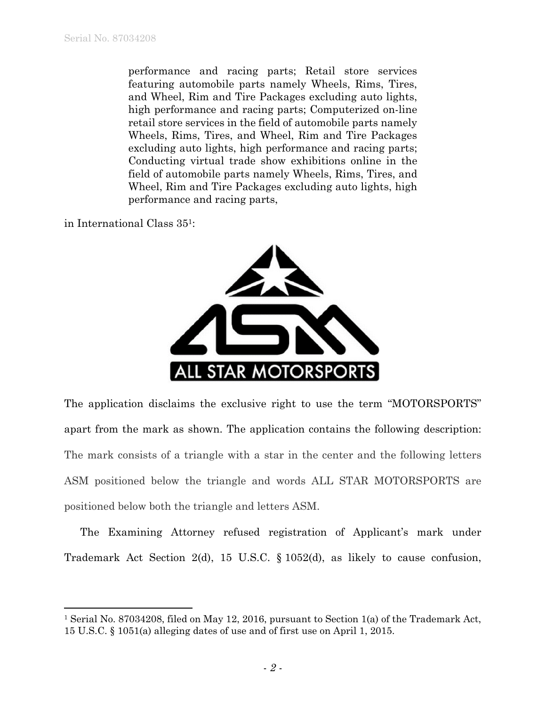performance and racing parts; Retail store services featuring automobile parts namely Wheels, Rims, Tires, and Wheel, Rim and Tire Packages excluding auto lights, high performance and racing parts; Computerized on-line retail store services in the field of automobile parts namely Wheels, Rims, Tires, and Wheel, Rim and Tire Packages excluding auto lights, high performance and racing parts; Conducting virtual trade show exhibitions online in the field of automobile parts namely Wheels, Rims, Tires, and Wheel, Rim and Tire Packages excluding auto lights, high performance and racing parts,

in International Class 351:

 $\overline{a}$ 



The application disclaims the exclusive right to use the term "MOTORSPORTS" apart from the mark as shown. The application contains the following description: The mark consists of a triangle with a star in the center and the following letters ASM positioned below the triangle and words ALL STAR MOTORSPORTS are positioned below both the triangle and letters ASM.

The Examining Attorney refused registration of Applicant's mark under Trademark Act Section 2(d), 15 U.S.C. § 1052(d), as likely to cause confusion,

<sup>1</sup> Serial No. 87034208, filed on May 12, 2016, pursuant to Section 1(a) of the Trademark Act, 15 U.S.C. § 1051(a) alleging dates of use and of first use on April 1, 2015.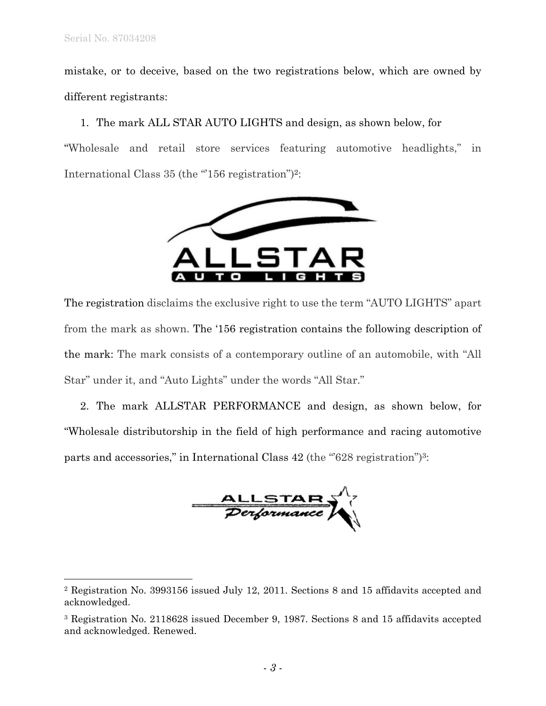1

mistake, or to deceive, based on the two registrations below, which are owned by different registrants:

1. The mark ALL STAR AUTO LIGHTS and design, as shown below, for "Wholesale and retail store services featuring automotive headlights," in International Class 35 (the "156 registration")<sup>2</sup>:



The registration disclaims the exclusive right to use the term "AUTO LIGHTS" apart from the mark as shown. The '156 registration contains the following description of the mark: The mark consists of a contemporary outline of an automobile, with "All Star" under it, and "Auto Lights" under the words "All Star."

2. The mark ALLSTAR PERFORMANCE and design, as shown below, for "Wholesale distributorship in the field of high performance and racing automotive parts and accessories," in International Class 42 (the "628 registration")3:

ALLSTAR

<sup>2</sup> Registration No. 3993156 issued July 12, 2011. Sections 8 and 15 affidavits accepted and acknowledged.

<sup>3</sup> Registration No. 2118628 issued December 9, 1987. Sections 8 and 15 affidavits accepted and acknowledged. Renewed.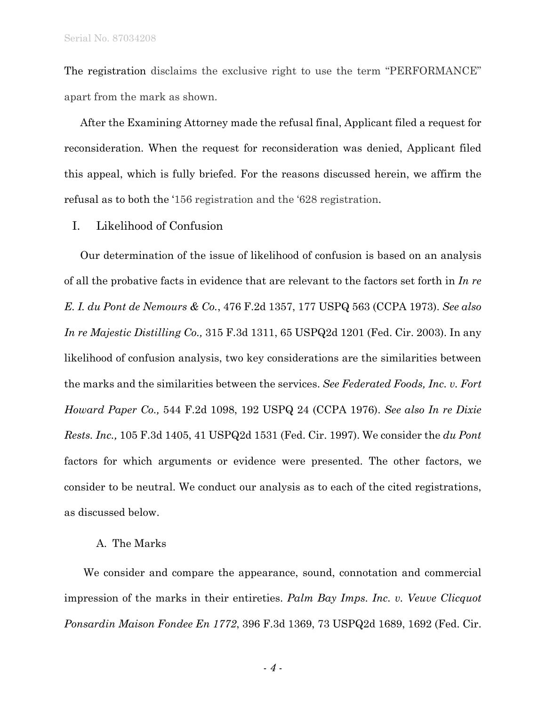The registration disclaims the exclusive right to use the term "PERFORMANCE" apart from the mark as shown.

After the Examining Attorney made the refusal final, Applicant filed a request for reconsideration. When the request for reconsideration was denied, Applicant filed this appeal, which is fully briefed. For the reasons discussed herein, we affirm the refusal as to both the '156 registration and the '628 registration.

I. Likelihood of Confusion

Our determination of the issue of likelihood of confusion is based on an analysis of all the probative facts in evidence that are relevant to the factors set forth in *In re E. I. du Pont de Nemours & Co.*, 476 F.2d 1357, 177 USPQ 563 (CCPA 1973). *See also In re Majestic Distilling Co.,* 315 F.3d 1311, 65 USPQ2d 1201 (Fed. Cir. 2003). In any likelihood of confusion analysis, two key considerations are the similarities between the marks and the similarities between the services. *See Federated Foods, Inc. v. Fort Howard Paper Co.,* 544 F.2d 1098, 192 USPQ 24 (CCPA 1976). *See also In re Dixie Rests. Inc.,* 105 F.3d 1405, 41 USPQ2d 1531 (Fed. Cir. 1997). We consider the *du Pont*  factors for which arguments or evidence were presented. The other factors, we consider to be neutral. We conduct our analysis as to each of the cited registrations, as discussed below.

### A. The Marks

We consider and compare the appearance, sound, connotation and commercial impression of the marks in their entireties. *Palm Bay Imps. Inc. v. Veuve Clicquot Ponsardin Maison Fondee En 1772*, 396 F.3d 1369, 73 USPQ2d 1689, 1692 (Fed. Cir.

- *4* -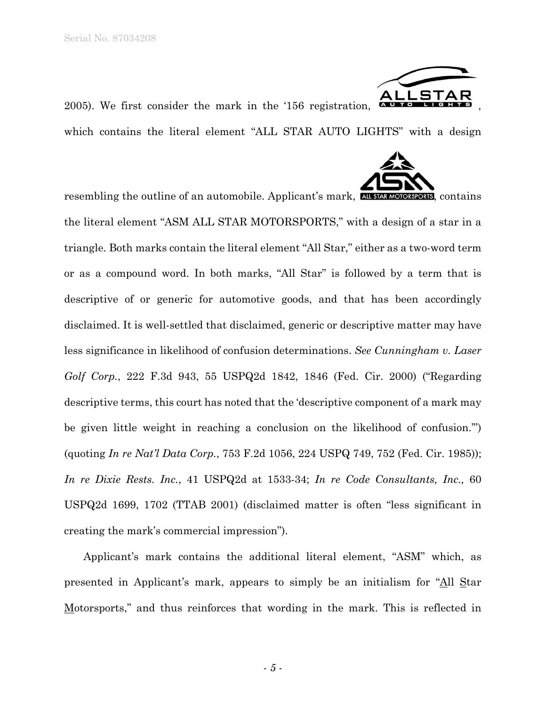

2005). We first consider the mark in the '156 registration,

which contains the literal element "ALL STAR AUTO LIGHTS" with a design



resembling the outline of an automobile. Applicant's mark, **ALL STAR MOTORSPORTS**, contains the literal element "ASM ALL STAR MOTORSPORTS," with a design of a star in a triangle. Both marks contain the literal element "All Star," either as a two-word term or as a compound word. In both marks, "All Star" is followed by a term that is descriptive of or generic for automotive goods, and that has been accordingly disclaimed. It is well-settled that disclaimed, generic or descriptive matter may have less significance in likelihood of confusion determinations. *See Cunningham v. Laser Golf Corp.*, 222 F.3d 943, 55 USPQ2d 1842, 1846 (Fed. Cir. 2000) ("Regarding descriptive terms, this court has noted that the 'descriptive component of a mark may be given little weight in reaching a conclusion on the likelihood of confusion.'") (quoting *In re Nat'l Data Corp.*, 753 F.2d 1056, 224 USPQ 749, 752 (Fed. Cir. 1985)); *In re Dixie Rests. Inc.*, 41 USPQ2d at 1533-34; *In re Code Consultants, Inc.,* 60 USPQ2d 1699, 1702 (TTAB 2001) (disclaimed matter is often "less significant in creating the mark's commercial impression").

Applicant's mark contains the additional literal element, "ASM" which, as presented in Applicant's mark, appears to simply be an initialism for "All Star Motorsports," and thus reinforces that wording in the mark. This is reflected in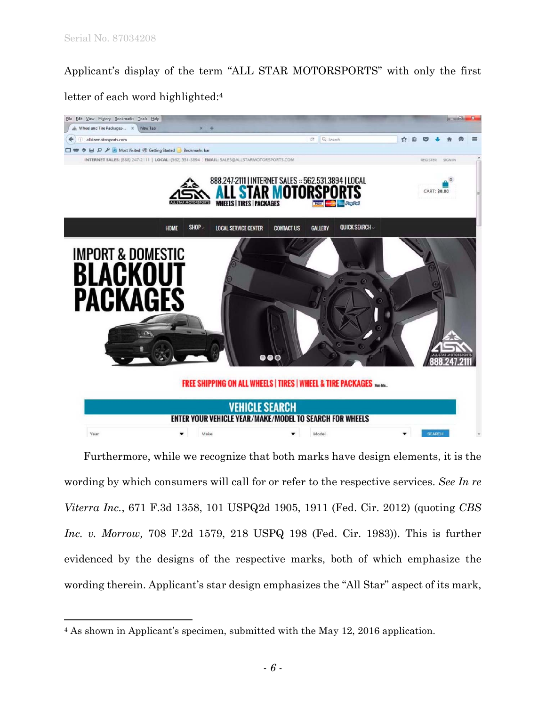$\overline{a}$ 

Applicant's display of the term "ALL STAR MOTORSPORTS" with only the first letter of each word highlighted:4



Furthermore, while we recognize that both marks have design elements, it is the wording by which consumers will call for or refer to the respective services. *See In re Viterra Inc.*, 671 F.3d 1358, 101 USPQ2d 1905, 1911 (Fed. Cir. 2012) (quoting *CBS Inc. v. Morrow,* 708 F.2d 1579, 218 USPQ 198 (Fed. Cir. 1983)). This is further evidenced by the designs of the respective marks, both of which emphasize the wording therein. Applicant's star design emphasizes the "All Star" aspect of its mark,

<sup>4</sup> As shown in Applicant's specimen, submitted with the May 12, 2016 application.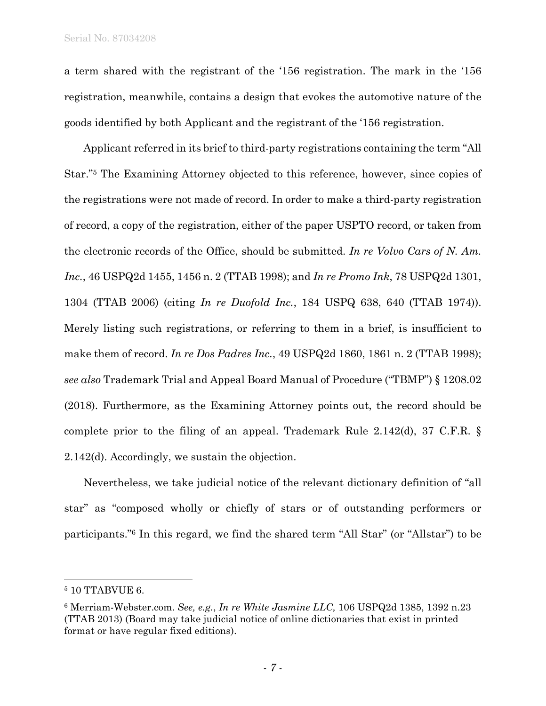a term shared with the registrant of the '156 registration. The mark in the '156 registration, meanwhile, contains a design that evokes the automotive nature of the goods identified by both Applicant and the registrant of the '156 registration.

Applicant referred in its brief to third-party registrations containing the term "All Star."5 The Examining Attorney objected to this reference, however, since copies of the registrations were not made of record. In order to make a third-party registration of record, a copy of the registration, either of the paper USPTO record, or taken from the electronic records of the Office, should be submitted. *In re Volvo Cars of N. Am. Inc.*, 46 USPQ2d 1455, 1456 n. 2 (TTAB 1998); and *In re Promo Ink*, 78 USPQ2d 1301, 1304 (TTAB 2006) (citing *In re Duofold Inc.*, 184 USPQ 638, 640 (TTAB 1974)). Merely listing such registrations, or referring to them in a brief, is insufficient to make them of record. *In re Dos Padres Inc.*, 49 USPQ2d 1860, 1861 n. 2 (TTAB 1998); *see also* Trademark Trial and Appeal Board Manual of Procedure ("TBMP") § 1208.02 (2018). Furthermore, as the Examining Attorney points out, the record should be complete prior to the filing of an appeal. Trademark Rule 2.142(d), 37 C.F.R. § 2.142(d). Accordingly, we sustain the objection.

Nevertheless, we take judicial notice of the relevant dictionary definition of "all star" as "composed wholly or chiefly of stars or of outstanding performers or participants."6 In this regard, we find the shared term "All Star" (or "Allstar") to be

1

<sup>5 10</sup> TTABVUE 6.

<sup>6</sup> Merriam-Webster.com. *See, e.g.*, *In re White Jasmine LLC,* 106 USPQ2d 1385, 1392 n.23 (TTAB 2013) (Board may take judicial notice of online dictionaries that exist in printed format or have regular fixed editions).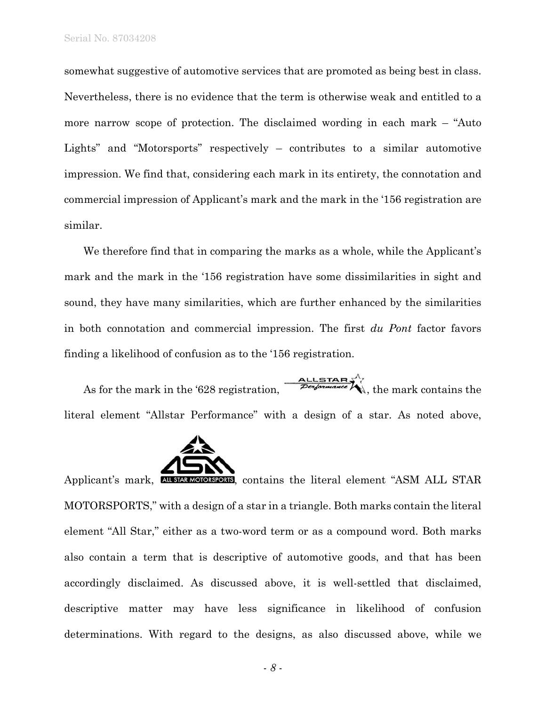somewhat suggestive of automotive services that are promoted as being best in class. Nevertheless, there is no evidence that the term is otherwise weak and entitled to a more narrow scope of protection. The disclaimed wording in each mark – "Auto Lights" and "Motorsports" respectively – contributes to a similar automotive impression. We find that, considering each mark in its entirety, the connotation and commercial impression of Applicant's mark and the mark in the '156 registration are similar.

We therefore find that in comparing the marks as a whole, while the Applicant's mark and the mark in the '156 registration have some dissimilarities in sight and sound, they have many similarities, which are further enhanced by the similarities in both connotation and commercial impression. The first *du Pont* factor favors finding a likelihood of confusion as to the '156 registration.

As for the mark in the '628 registration,  $\frac{\text{ALISTAR}}{\text{Performance}}$ , the mark contains the literal element "Allstar Performance" with a design of a star. As noted above,



Applicant's mark, ALL STAR MOTORSPORTS, contains the literal element "ASM ALL STAR MOTORSPORTS," with a design of a star in a triangle. Both marks contain the literal element "All Star," either as a two-word term or as a compound word. Both marks also contain a term that is descriptive of automotive goods, and that has been accordingly disclaimed. As discussed above, it is well-settled that disclaimed, descriptive matter may have less significance in likelihood of confusion determinations. With regard to the designs, as also discussed above, while we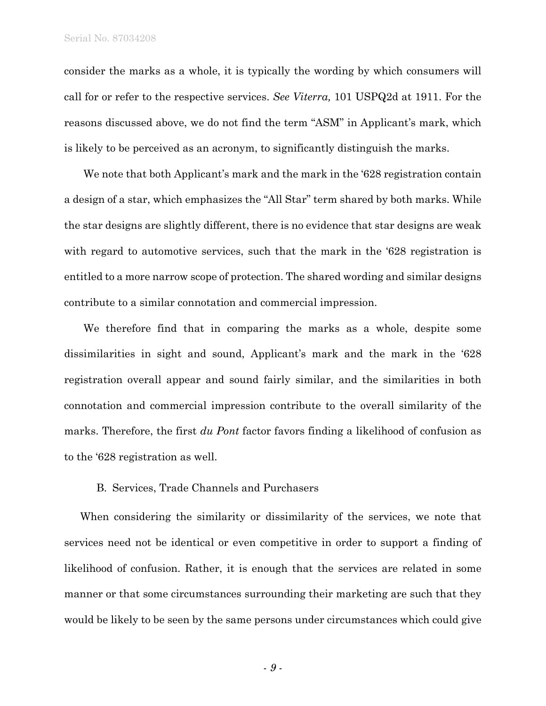consider the marks as a whole, it is typically the wording by which consumers will call for or refer to the respective services. *See Viterra,* 101 USPQ2d at 1911. For the reasons discussed above, we do not find the term "ASM" in Applicant's mark, which is likely to be perceived as an acronym, to significantly distinguish the marks.

We note that both Applicant's mark and the mark in the '628 registration contain a design of a star, which emphasizes the "All Star" term shared by both marks. While the star designs are slightly different, there is no evidence that star designs are weak with regard to automotive services, such that the mark in the '628 registration is entitled to a more narrow scope of protection. The shared wording and similar designs contribute to a similar connotation and commercial impression.

We therefore find that in comparing the marks as a whole, despite some dissimilarities in sight and sound, Applicant's mark and the mark in the '628 registration overall appear and sound fairly similar, and the similarities in both connotation and commercial impression contribute to the overall similarity of the marks. Therefore, the first *du Pont* factor favors finding a likelihood of confusion as to the '628 registration as well.

#### B. Services, Trade Channels and Purchasers

When considering the similarity or dissimilarity of the services, we note that services need not be identical or even competitive in order to support a finding of likelihood of confusion. Rather, it is enough that the services are related in some manner or that some circumstances surrounding their marketing are such that they would be likely to be seen by the same persons under circumstances which could give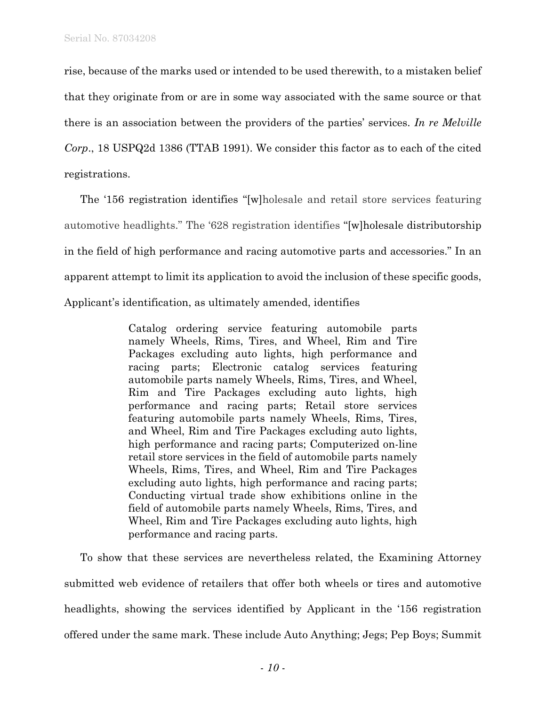rise, because of the marks used or intended to be used therewith, to a mistaken belief that they originate from or are in some way associated with the same source or that there is an association between the providers of the parties' services. *In re Melville Corp*., 18 USPQ2d 1386 (TTAB 1991). We consider this factor as to each of the cited registrations.

The '156 registration identifies "[w]holesale and retail store services featuring automotive headlights." The '628 registration identifies "[w]holesale distributorship in the field of high performance and racing automotive parts and accessories." In an apparent attempt to limit its application to avoid the inclusion of these specific goods, Applicant's identification, as ultimately amended, identifies

> Catalog ordering service featuring automobile parts namely Wheels, Rims, Tires, and Wheel, Rim and Tire Packages excluding auto lights, high performance and racing parts; Electronic catalog services featuring automobile parts namely Wheels, Rims, Tires, and Wheel, Rim and Tire Packages excluding auto lights, high performance and racing parts; Retail store services featuring automobile parts namely Wheels, Rims, Tires, and Wheel, Rim and Tire Packages excluding auto lights, high performance and racing parts; Computerized on-line retail store services in the field of automobile parts namely Wheels, Rims, Tires, and Wheel, Rim and Tire Packages excluding auto lights, high performance and racing parts; Conducting virtual trade show exhibitions online in the field of automobile parts namely Wheels, Rims, Tires, and Wheel, Rim and Tire Packages excluding auto lights, high performance and racing parts.

To show that these services are nevertheless related, the Examining Attorney submitted web evidence of retailers that offer both wheels or tires and automotive headlights, showing the services identified by Applicant in the '156 registration offered under the same mark. These include Auto Anything; Jegs; Pep Boys; Summit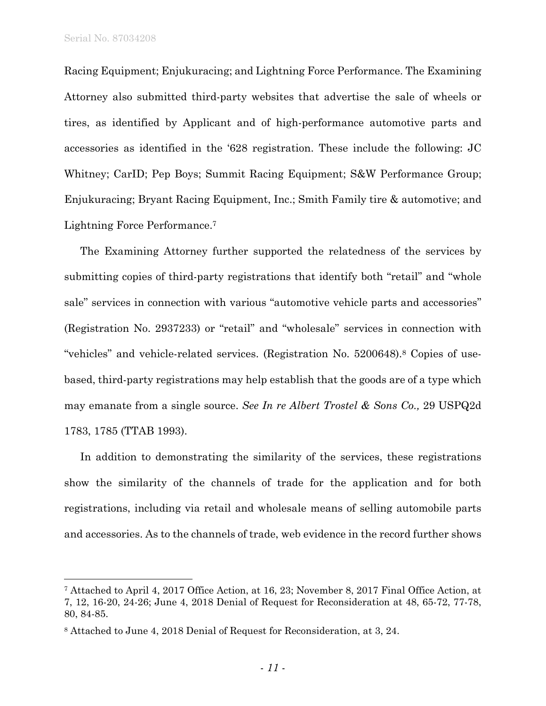Serial No. 87034208

 $\overline{a}$ 

Racing Equipment; Enjukuracing; and Lightning Force Performance. The Examining Attorney also submitted third-party websites that advertise the sale of wheels or tires, as identified by Applicant and of high-performance automotive parts and accessories as identified in the '628 registration. These include the following: JC Whitney; CarID; Pep Boys; Summit Racing Equipment; S&W Performance Group; Enjukuracing; Bryant Racing Equipment, Inc.; Smith Family tire & automotive; and Lightning Force Performance.7

The Examining Attorney further supported the relatedness of the services by submitting copies of third-party registrations that identify both "retail" and "whole sale" services in connection with various "automotive vehicle parts and accessories" (Registration No. 2937233) or "retail" and "wholesale" services in connection with "vehicles" and vehicle-related services. (Registration No. 5200648).8 Copies of usebased, third-party registrations may help establish that the goods are of a type which may emanate from a single source. *See In re Albert Trostel & Sons Co.,* 29 USPQ2d 1783, 1785 (TTAB 1993).

In addition to demonstrating the similarity of the services, these registrations show the similarity of the channels of trade for the application and for both registrations, including via retail and wholesale means of selling automobile parts and accessories. As to the channels of trade, web evidence in the record further shows

<sup>7</sup> Attached to April 4, 2017 Office Action, at 16, 23; November 8, 2017 Final Office Action, at 7, 12, 16-20, 24-26; June 4, 2018 Denial of Request for Reconsideration at 48, 65-72, 77-78, 80, 84-85.

<sup>8</sup> Attached to June 4, 2018 Denial of Request for Reconsideration, at 3, 24.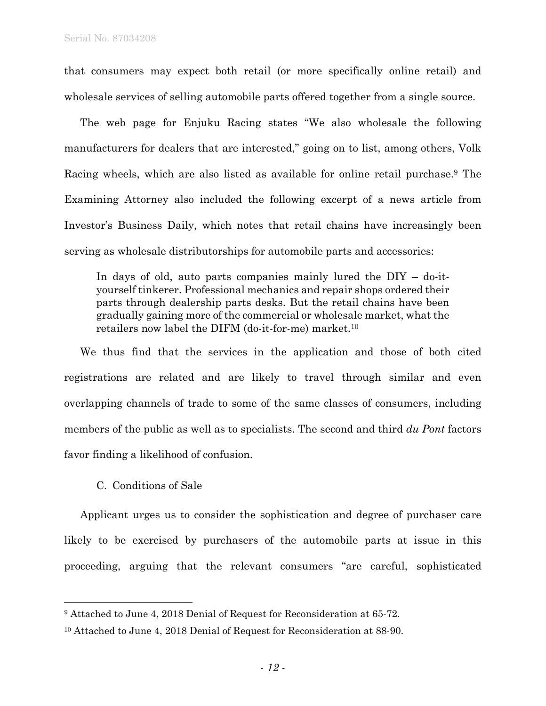that consumers may expect both retail (or more specifically online retail) and wholesale services of selling automobile parts offered together from a single source.

The web page for Enjuku Racing states "We also wholesale the following manufacturers for dealers that are interested," going on to list, among others, Volk Racing wheels, which are also listed as available for online retail purchase.9 The Examining Attorney also included the following excerpt of a news article from Investor's Business Daily, which notes that retail chains have increasingly been serving as wholesale distributorships for automobile parts and accessories:

In days of old, auto parts companies mainly lured the DIY – do-ityourself tinkerer. Professional mechanics and repair shops ordered their parts through dealership parts desks. But the retail chains have been gradually gaining more of the commercial or wholesale market, what the retailers now label the DIFM (do-it-for-me) market.10

We thus find that the services in the application and those of both cited registrations are related and are likely to travel through similar and even overlapping channels of trade to some of the same classes of consumers, including members of the public as well as to specialists. The second and third *du Pont* factors favor finding a likelihood of confusion.

C. Conditions of Sale

1

Applicant urges us to consider the sophistication and degree of purchaser care likely to be exercised by purchasers of the automobile parts at issue in this proceeding, arguing that the relevant consumers "are careful, sophisticated

<sup>9</sup> Attached to June 4, 2018 Denial of Request for Reconsideration at 65-72.

<sup>10</sup> Attached to June 4, 2018 Denial of Request for Reconsideration at 88-90.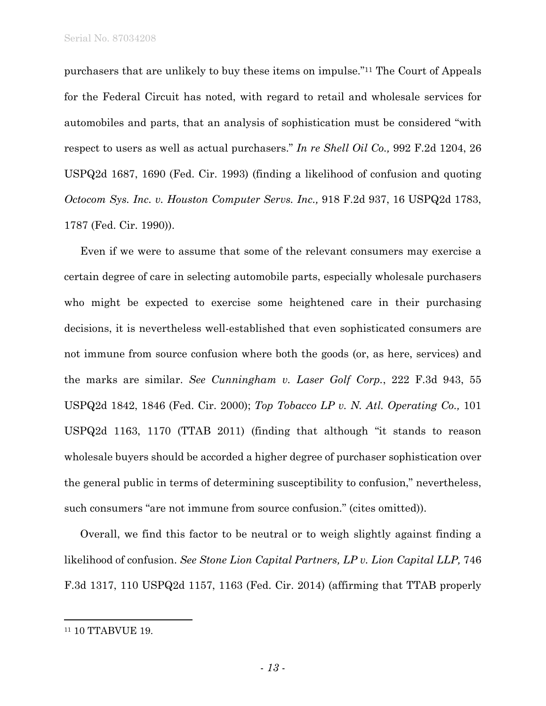Serial No. 87034208

purchasers that are unlikely to buy these items on impulse."11 The Court of Appeals for the Federal Circuit has noted, with regard to retail and wholesale services for automobiles and parts, that an analysis of sophistication must be considered "with respect to users as well as actual purchasers." *In re Shell Oil Co.,* 992 F.2d 1204, 26 USPQ2d 1687, 1690 (Fed. Cir. 1993) (finding a likelihood of confusion and quoting *Octocom Sys. Inc. v. Houston Computer Servs. Inc.,* 918 F.2d 937, 16 USPQ2d 1783, 1787 (Fed. Cir. 1990)).

Even if we were to assume that some of the relevant consumers may exercise a certain degree of care in selecting automobile parts, especially wholesale purchasers who might be expected to exercise some heightened care in their purchasing decisions, it is nevertheless well-established that even sophisticated consumers are not immune from source confusion where both the goods (or, as here, services) and the marks are similar. *See Cunningham v. Laser Golf Corp.*, 222 F.3d 943, 55 USPQ2d 1842, 1846 (Fed. Cir. 2000); *Top Tobacco LP v. N. Atl. Operating Co.,* 101 USPQ2d 1163, 1170 (TTAB 2011) (finding that although "it stands to reason wholesale buyers should be accorded a higher degree of purchaser sophistication over the general public in terms of determining susceptibility to confusion," nevertheless, such consumers "are not immune from source confusion." (cites omitted)).

Overall, we find this factor to be neutral or to weigh slightly against finding a likelihood of confusion. *See Stone Lion Capital Partners, LP v. Lion Capital LLP,* 746 F.3d 1317, 110 USPQ2d 1157, 1163 (Fed. Cir. 2014) (affirming that TTAB properly

 $\overline{a}$ 

<sup>&</sup>lt;sup>11</sup> 10 TTABVUE 19.